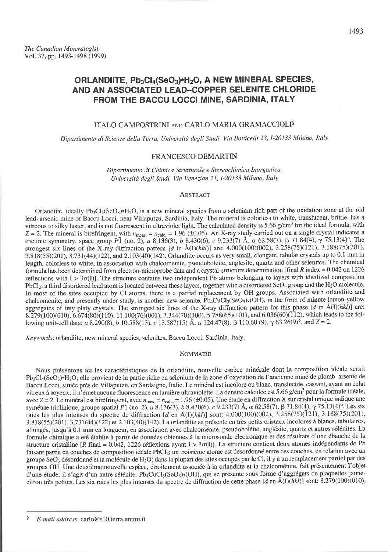# ORLANDIITE, Pb<sub>3</sub>Cl<sub>4</sub>(SeO<sub>3</sub>)•H<sub>2</sub>O, A NEW MINERAL SPECIES, AND AN ASSOCIATED LEAD-COPPER SELENITE CHLORIDE FROM THE BACCU LOCCI MINE, SARDINIA, ITALY

# ITALO CAMPOSTRINI AND CARLO MARIA GRAMACCIOLI<sup>§</sup>

Dipartimento di Scienze della Terra, Università degli Studi, Via Botticelli 23, I-20133 Milano, Italy

## **FRANCESCO DEMARTIN**

Dipartimento di Chimica Strutturale e Stereochimica Inorganica, Università degli Studi, Via Venezian 21, I-20133 Milano, Italy

#### ABSTRACT

Orlandiite, ideally Pb<sub>3</sub>Cl<sub>4</sub>(SeO<sub>3</sub>)\*H<sub>2</sub>O, is a new mineral species from a selenium-rich part of the oxidation zone at the old lead-arsenic mine of Baccu Locci, near Villaputzu, Sardinia, Italy. The mineral is colorless to white, translucent, brittle, has a vitreous to silky luster, and is not fluorescent in ultraviolet light. The calculated density is 5.66 g/cm<sup>3</sup> for the ideal formula, with  $Z = 2$ . The mineral is birefringent, with  $n_{\text{meas}} = n_{\text{calc}} = 1.96 \ ( \pm 0.05)$ . An X-ray study carried out on a single crystal indicates a triclinic symmetry, space group  $P_1^T$  (no. 2), a 8.136(3), b 8.430(6), c 9.233(7) Å,  $\alpha$  62.58(7),  $\beta$  71.84(4),  $\gamma$  75.13(4)°. The strongest six lines of the X-ray-diffraction pattern [d in Å(I)(hkl)] are: 4.000(100)(002), 3.258(75)(121), 3.188(75)(201), 3.818(55)(201), 3.731(44)(122), and 2.103(40)(142). Orlandiite occurs as very small, elongate, tabular crystals up to 0.1 mm in length, colorless to white, in association with chalcomenite, pseudoboléite, anglesite, quartz and other selenites. The chemical formula has been determined from electron-microprobe data and a crystal-structure determination [final  $R$  index = 0.042 on 1226 reflections with  $I > 3\sigma(I)$ . The structure contains two independent Pb atoms belonging to layers with idealized composition PbCl<sub>2</sub>; a third disordered lead atom is located between these layers, together with a disordered SeO<sub>3</sub> group and the H<sub>2</sub>O molecule. In most of the sites occupied by Cl atoms, there is a partial replacement by OH groups. Associated with orlandite and chalcomenite, and presently under study, is another new selenite, Pb<sub>4</sub>CuCl<sub>3</sub>(SeO<sub>3</sub>)<sub>3</sub>(OH), in the form of minute lemon-yellow aggregates of tiny platy crystals. The strongest six lines of the X-ray diffraction pattern for this phase  $[d$  in  $\AA(1)(hkl)]$  are: 8.279(100)(010), 6.674(80)(110), 11.100(76)(001), 7.344(70)(100), 5.788(65)(101), and 6.036(60)(112), which leads to the following unit-cell data: a 8.290(8), b 10.588(13), c 13.587(15) Å,  $\alpha$  124.47(8),  $\beta$  110.60 (9),  $\gamma$  63.26(9)°, and  $Z = 2$ .

Keywords: orlandiite, new mineral species, selenites, Baccu Locci, Sardinia, Italy,

### **SOMMAIRE**

Nous présentons ici les caractéristiques de la orlandiite, nouvelle espèce minérale dont la composition idéale serait Pb<sub>3</sub>Cl<sub>4</sub>(SeO<sub>3</sub>)\*H<sub>2</sub>O; elle provient de la partie riche en sélénium de la zone d'oxydation de l'ancienne mine de plomb-arsenic de Baccu Locci, située près de Villaputzu, en Sardaigne, Italie. Le minéral est incolore ou blanc, translucide, cassant, ayant un éclat vitreux à soyeux; il n'émet aucune fluorescence en lumière ultraviolette. La densité calculée est 5.66 g/cm<sup>3</sup> pour la formule idéale, avec  $Z = 2$ . Le minéral est biréfringent, avec  $n_{\text{mess}} = n_{\text{calc,}} = 1.96 \ ( \pm 0.05)$ . Une étude en diffraction X sur cristal unique indique une symétrie triclinique, groupe spatial P1 (no. 2), a 8.136(3), b 8.430(6), c 9.233(7) Å, α 62.58(7), β 71.84(4),  $\gamma$  75.13(4)°. Les six raies les plus intenses du spectre de diffraction [d en Å(I)(hkl)] sont: 4.000(100)(002), 3.258(75)(121), 3.188(75)(201), 3.818(55)(201), 3.731(44)(122) et 2.103(40)(142). La orlandiite se présente en très petits cristaux incolores à blancs, tabulaires, allongés, jusqu'à 0.1 mm en longueur, en association avec chalcoménite, pseudoboléite, anglésite, quartz et autres sélénites. La formule chimique a été établie à partir de données obtenues à la microsonde électronique et des résultats d'une ébauche de la structure cristalline [R final = 0.042, 1226 réflexions ayant I >  $3\sigma(I)$ ]. La structure contient deux atomes indépendants de Pb faisant partie de couches de composition idéale PbCl<sub>2</sub>; un troisième atome est désordonné entre ces couches, en relation avec un groupe SeO<sub>3</sub> désordonné et la molécule de H<sub>2</sub>O; dans la plupart des sites occupés par le Cl, il y a un remplacement partiel par des groupes OH. Une deuxième nouvelle espèce, étroitement associée à la orlandiite et la chalcoménite, fait présentement l'objet d'une étude; il s'agit d'un autre sélénite, Pb4CuCl3(SeO3)3(OH), qui se présente sous forme d'aggrégats de plaquettes jaunecitron très petites. Les six raies les plus intenses du spectre de diffraction de cette phase [d en  $\AA(1)(hk)$ ] sont: 8.279(100)(010),

 $\frac{8}{3}$ E-mail address: carlo@r10.terra.unimi.it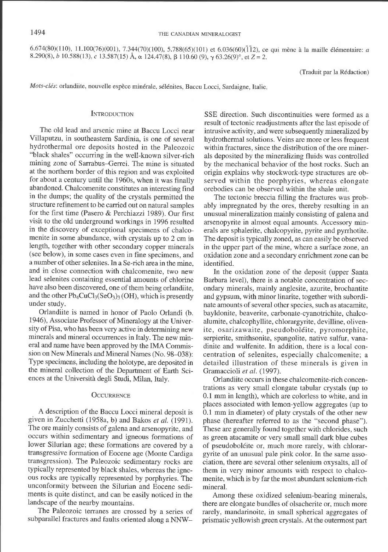$6.674(80)(110)$ , 11.100(76)(001), 7.344(70)(100), 5.788(65)(101) et  $6.036(60)(\bar{1}12)$ , ce qui mène à la maille élémentaire: a 8.290(8), b 10.588(13), c 13.587(15) Å,  $\alpha$  124.47(8),  $\beta$  110.60 (9),  $\gamma$  63.26(9)°, et  $Z=2$ .

(Traduit par la Rédaction)

Mots-clés: orlandiite, nouvelle espèce minérale, sélénites, Baccu Locci, Sardaigne, Italie.

### **INTRODUCTION**

The old lead and arsenic mine at Baccu Locci near Villaputzu, in southeastern Sardinia, is one of several hydrothermal ore deposits hosted in the Paleozoic "black shales" occurring in the well-known silver-rich mining zone of Sarrabus-Gerrei. The mine is situated at the northern border of this region and was exploited for about a century until the 1960s, when it was finally abandoned. Chalcomenite constitutes an interesting find in the dumps; the quality of the crystals permitted the structure refinement to be carried out on natural samoles for the first time (Pasero & Perchiazzi 1989). Our first visit to the old underground workings in1996 resulted in the discovery of exceptional specimens of chalcomenite in some abundance, with crystals up to 2 cm in length, together with other secondary copper minerals (see below), in some cases even in fine specimens, and a number of other selenites. In a Se-rich area in the mine, and in close connection with chalcomenite, two new lead selenites containing essential amounts of chlorine have also been discovered, one of them being orlandiite, and the other  $Pb_4CuCl_3(SeO_3)_3(OH)$ , which is presently under study.

Orlandiite is named in honor of Paolo Orlandi (b. 1946), Associate Professor of Mineralogy at the University of Pisa, who has been very active in determining new minerals and mineral occurrences in Italy. The new mineral and name have been approved by the IMA Commission on New Minerals and Mineral Names (No. 98-O38): Type specimens, including the holotype, are deposited in the mineral collection of the Department of Earth Sciences at the Università degli Studi, Milan, Italy.

#### **OCCURRENCE**

A description of the Baccu Locci mineral deposit is given in Zucchetti (1958a, b) and Bakos et al.  $(1991)$ . The ore mainly consists of galena and arsenopyrite, and occurs within sedimentary and igneous formations of lower Silurian age; these formations are covered by a transgressive formation of Eocene age (Monte Cardiga transgression). The Paleozoic sedimentary rocks are typically represented by black shales, whereas the igneous rocks are typically represented by porphyries. The unconformity between the Silurian and Eocene sediments is quite distinct, and can be easily noticed in the landscape of the nearby mountains.

The Paleozoic terranes are crossed by a series of subparallel fractures and faults oriented along a NNW-

SSE direction. Such discontinuities were formed as a result of tectonic readjustments after the last episode of intrusive activity, and were subsequently mineralized by hydrothermal solutions. Veins are more or less frequent within fractures, since the distribution of the ore minerals deposited by the mineralizing fluids was controlled by the mechanical behavior of the host rocks. Such an origin explains why stockwork-type structures are observed within the porphyries, whereas elongate orebodies can be observed within the shale unit.

The tectonic breccia filling the fractures was probably impregnated by the ores, thereby resulting in an unusual mineralization mainly consisting of galena and arsenopyrite in almost equal amounts. Accessory minerals are sphalerite, chalcopyrite, pyrite and pyrrhotite. The deposit is typically zoned, as can easily be observed in the upper part of the mine, where a surface zone, an oxidation zone and a secondary enrichment zone can be identified.

In the oxidation zone of the deposit (upper Santa Barbara level), there is a notable concentration of secondary minerals, mainly anglesite, azurite, brochantite and gypsum, with minor linarite, together with subordinate amounts of several other species, such as atacamite, bayldonite, beaverite, carbonate-cyanotrichite, chalcoalumite, chalcophyllite, chlorargyrite, devilline, olivenite, osarizawaite, pseudoboléite, pyromorphite, serpierite, smithsonite, spangolite, native sulfur, vanadinite and wulfenite. In addition, there is a local concentration of selenites, especially chalcomenite; a detailed illustration of these minerals is given in Gramaccioli et al. (1997).

Orlandiite occurs in these chalcomenite-rich concentrations as very small elongate tabular crystals (up to 0.1 mm in length), which are colorless to white, and in places associated with lemon-yellow aggregates (up to 0.1 mm in diameter) of platy crystals of the other new phase (hereafter referred to as the "second phase"). These are generally found together with chlorides, such as green atacamite or very small small dark blue cubes of pseudoboléite or, much more rarely, with chlorargyrite of an unusual pale pink color. In the same association, there are several other selenium oxysalts, all of them in very minor amounts with respect to chalcomenite, which is by far the most abundant selenium-rich mineral.

Among these oxidized selenium-bearing minerals, there are elongate bundles of olsacherite or, much more rarely, mandarinoite, in small spherical aggregates of prismatic yellowish green crystals. At the outermost part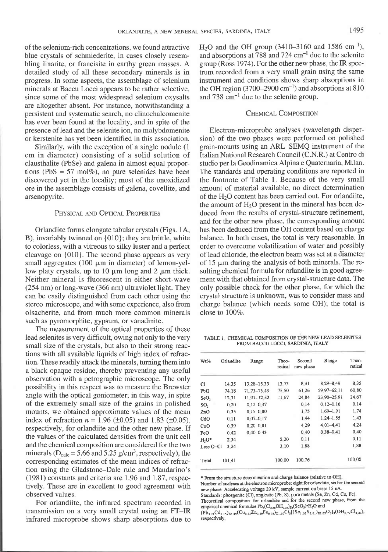of the selenium-rich concentrations, we found attractive blue crystals of schmiederite, in cases closely resembling linarite, or francisite in earthy green masses. A detailed study of all these secondary minerals is in progress. In some aspects, the assemblage of selenium minerals at Baccu Locci appears to be rather selective, since some of the most widespread selenium oxysalts are altogether absent. For instance, notwithstanding a persistent and systematic search, no clinochalcomenite has ever been found at the locality, and in spite of the presence of lead and the selenite ion, no molybdomenite or kerstenite has yet been identified in this association.

Similarly, with the exception of a single nodule (1 cm in diameter) consisting of a solid solution of clausthalite (PbSe) and galena in almost equal proportions (PbS = 57 mol%), no pure selenides have been discovered yet in the locality; most of the unoxidized ore in the assemblage consists of galena, covellite, and arsenopyrite.

#### PHYSICAL AND OPTICAL PROPERTIES

Orlandiite forms elongate tabular crystals (Figs. lA, B), invariably twinned on {010}; they are brittle, white to colorless, with a vitreous to silky luster and a perfect cleavage on {010}. The second phase appears as very small aggregates (100  $\mu$ m in diameter) of lemon-yellow platy crystals, up to 10  $\mu$ m long and 2  $\mu$ m thick. Neither mineral is fluorescent in either short-wave (254 nm) or long-wave (366 nm) ultraviolet light. They can be easily distinguished from each other using the stereo-microscope, and with some experience, also from olsacherite, and from much more common minerals such as pyromorphite, gypsum, or vanadinite.

The measurement of the optical properties of these lead selenites is very difficult, owing not only to the very small size of the crystals, but also to their strong reactions with all available liquids of high index of refraction. These readily attack the minerals, turning them into a black opaque residue, thereby preventing any useful observation with a petrographic microscope. The only possibility in this respect was to measure the Brewster angle with the optical goniometer; in this way, in spite of the extremely small size of the grains in polished mounts, we obtained approximate values of the mean index of refraction  $n = 1.96 \ (\pm 0.05)$  and 1.83 ( $\pm 0.05$ ), respectively, for orlandiite and the other new phase. If the values of the calculated densities from the unit cell and the chemical composition are considered for the two minerals ( $D_{calc} = 5.66$  and 5.25 g/cm<sup>3</sup>, respectively), the corresponding estimates of the mean indices of refraction using the Gladstone-Dale rule and Mandarino's (1981) constants and criteria are 1.96 and 1.87, respectively. These are in excellent to good agreement with observed values.

For orlandiite, the infrared spectrum recorded in transmission on a very small crystal using an FT-IR infrared microprobe shows sharp absorptions due to  $H<sub>2</sub>O$  and the OH group (3410–3160 and 1586 cm<sup>-1</sup>), and absorptions at  $788$  and  $724$  cm<sup>-1</sup> due to the selenite group (Ross 1974). For the other new phase, the IR spectrum recorded from a very small grain using the same instrument and conditions shows sharp absorptions in the OH region  $(3700-2900 \text{ cm}^{-1})$  and absorptions at 810 and  $738 \text{ cm}^{-1}$  due to the selenite group.

# CHEMICAL COMPOSITION

Electron-microprobe analyses (wavelength dispersion) of the two phases were performed on polished grain-mounts using an ARL-SEMQ instrument of the Italian National Research Council (C.N.R.) at Centro di studio per la Geodinamica Alpina e Quatemaria, Milan. The standards and operating conditions are reported in the footnote of Table 1. Because of the very small amount of material available, no direct determination of the H<sub>2</sub>O content has been carried out. For orlandiite, the amount of  $H<sub>2</sub>O$  present in the mineral has been deduced from the results of crystal-structure refinement, and for the other new phase, the corresponding amount has been deduced from the OH content based on charge balance. In both cases, the total is very reasonable. In order to overcome volatilization of water and possibly oflead chloride, the electron beam was set at a diameter of 15  $\mu$ m during the analysis of both minerals. The resulting chemical formula for orlandiite is in good agreement with that obtained from crystal-structure data. The only possible check for the other phase, for which the crystal structure is unknown, was to consider mass and charge balance (which needs some OH); the total is close to 1007o.

TABLE I CHEMICAL COMPOSITION OF THE NEW LEAD SELENITES FROM BACCU LOCCI. SARDINIA. ITALY

|       | Range                | Theo-<br>retical | Second<br>new phase | Range         | Theo-<br>retical |
|-------|----------------------|------------------|---------------------|---------------|------------------|
| 14.35 | 13.28-15.33          | 13.73            | 8.41                | 8 29 - 8 49   | 8.35             |
| 74.18 | 71.73-75.49          | 75.50            | 61.26               | 59.97-62.11   | 60 80            |
| 12.31 | 1191-12.52           | 11.67            | 24.84               | 23 90 - 25 91 | 24.67            |
| 0.20  | $0.12 - 0.37$        |                  | 0.14                | $0.12 - 0.16$ | 0.14             |
| 0.35  | $0.15 - 0.80$        |                  | 1.75                | 1.69-1.91     | 1.74             |
| 0.11  | $0.07 - 0.17$        |                  | 1.44                | $1.24 - 1.55$ | 1.43             |
| 0.39  | $0.20 - 0.81$        |                  | 4.29                | 4 0 1 - 4 4 1 | 4.24             |
| 0.42  | $0,40 - 0.43$        |                  | 0.40                | $0.38 - 0.41$ | 0.40             |
| 2.34  |                      | 2.20             | 0.11                |               | 0.11             |
| 3.24  |                      | 3.10             | 1.88                |               | 1.88             |
|       |                      | 100.00           | 100.76              |               | 100.00           |
|       | Orlandiite<br>101.41 |                  |                     |               |                  |

\* From the structure deemimtioo ud chuge balmce (relative to OII)

Number of analyses at the electron microprobe: eight for orlandiite, six for the second new phase. Accelerating voltage 20 kV, sample current on brass 15 nA.

Standards: phosgenite (Cl), anglesite (Pb, S), pure metals (Se, Zn, Cd, Cu, Fe). Theoretical composition. for orlandiite and for the second new phase, from the

empirical chemical formulae  $Pb_3(Cl_{3.68}OH_{0.32})_{\Sigma 4}$ (SeO<sub>3</sub>)\*H<sub>2</sub>O and

 $(Pb_{3.74}Cd_{0.15})_{23.89}(Cu_{0.73}Zn_{0.29}Fe_{0.08})_{21.10}Cl_{3}[(Se_{1.02}S_{0.01})_{21.03}O_{3}]_{3}(OH_{0.77}Cl_{0.23}),$ respectively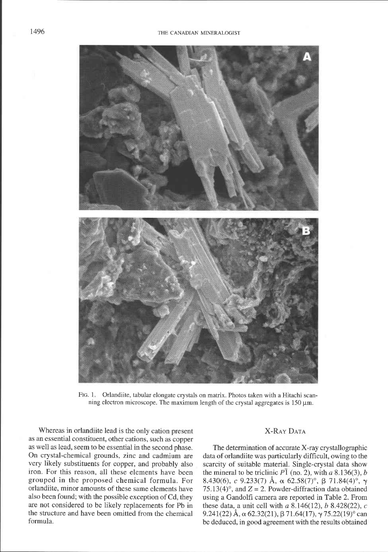

FIG. 1 Orlandiite, tabular elongate crystals on matrix. Photos taken with a Hitachi scanning electron microscope. The maximum length of the crystal aggregates is  $150 \mu m$ .

Whereas in orlandiite lead is the only cation present as an essential constituent, other cations, such as copper as well as lead, seem to be essential in the second phase. On crystal-chemical grounds, zinc and cadmium are very likely substituents for copper, and probably also iron. For this reason, all these elements have been grouped in the proposed chemical formula. For orlandiite, minor amounts of these same elements have also been found; with the possible exception of Cd, they are not considered to be likely replacements for Pb in the sfiucture and have been omitted from the chemical formula.

# **X-RAY DATA**

The determination of accurate X-ray crystallographic data of orlandiite was particularly difficult, owing to the scarcity of suitable material. Single-crystal data show the mineral to be triclinic  $P\overline{1}$  (no. 2), with a 8.136(3), b 8.430(6), c 9.233(7) Å,  $\alpha$  62.58(7)°,  $\beta$  71.84(4)°,  $\gamma$ 75.13(4)°, and  $Z = 2$ . Powder-diffraction data obtained using a Gandolfi camera are reported in Table 2. From these data, a unit cell with  $a \ 8.146(12)$ ,  $b \ 8.428(22)$ , c 9.241(22) Å,  $\alpha$  62.32(21),  $\beta$  71.64(17),  $\gamma$  75.22(19)<sup>°</sup> can be deduced, in good agreement with the results obtained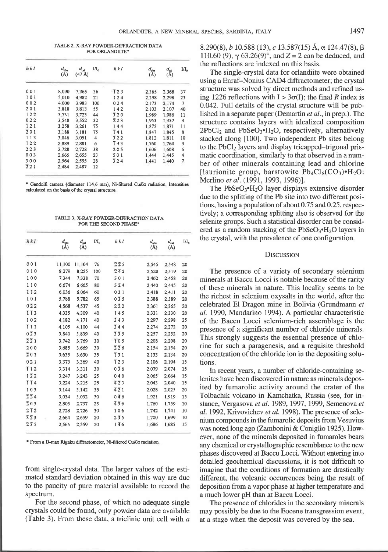TABLE 2 X-RAY POWDER-DIFFRACTION DATA FOR ORLANDIITE\*

| hkl                | $d_{\rm obs}$<br>(A) | $d_{cd}$<br>$(47 \text{ Å})$ | $\mathbf{I}/\mathbf{I}_\alpha$ | h k l             | $d_{\text{obs}}$<br>$(\AA)$ | $d_{\rm cal}$<br>(A) | $M_{\alpha}$             |
|--------------------|----------------------|------------------------------|--------------------------------|-------------------|-----------------------------|----------------------|--------------------------|
| 001                | 8.090                | 7.965                        | 36                             | T <sub>23</sub>   | 2.365                       | 2368                 | 37                       |
| 101                | 5.010                | 4.982                        | 21                             | 124               | 2.298                       | 2 2 9 8              | 23                       |
| 002                | 4.000                | 3.983                        | 100                            | 024               | 2.173                       | 2.174                | 7                        |
| 201                | 3818                 | 3.813                        | 55                             | 142               | 2 103                       | 2.107                | 40                       |
| 122                | 3.731                | 3.723                        | 44                             | 320               | 1.989                       | 1.986                | 11                       |
| 022                | 3.548                | 3.552                        | 32                             | 223               | 1953                        | 1.957                | 3                        |
| $\overline{1}21$   | 3.258                | 3.261                        | 75                             | 144               | 1875                        | 1.871                | 11                       |
| 201                | 3.188                | 3.181                        | 75                             | T 4 1             | 1847                        | 1.845                | 8                        |
| 113                | 3 0 4 6              | 3.051                        | 4                              | 322               | 1812                        | 1.811                | 10                       |
| $\overline{1}22$   | 2.889                | 2.881                        | 6                              | $\overline{1}43$  | 1.760                       | 1.764                | 9                        |
| 223                | 2.728                | 2.728                        | 38                             | 205               | 1.606                       | 1.608                | 6                        |
| 003                | 2.666                | 2.655                        | 23                             | 501               | 1.444                       | 1.445                | 4                        |
| 300                | 2 5 6 4              | 2555                         | 28                             | $\overline{3}$ 24 | 1.441                       | 1.440                | $\overline{\phantom{a}}$ |
| $\overline{2}$ 2 1 | 2.484                | 2.487                        | 12                             |                   |                             |                      |                          |
|                    |                      |                              |                                |                   |                             |                      |                          |

\* Gandolfi camera (diameter 1146 mm), Ni-filtered CuK $\alpha$  radiation Intensities calculated on the basis of the crystal structure.

TABLE 3 X-RAY POWDER-DIFFRACTION DATA FOR THE SECOND PHASE\*

| $h$ kl                          | $\frac{d_{\rm obs}}{(\rm \AA)}$ | $d_{\rm cal}$<br>(A) | $\mathbf{U}\mathbf{I}_0$ | hkl                             | $d_{\scriptscriptstyle{\text{obs}}}$<br>$(\AA)$ | $\frac{d_{\text{col}}}{\text{(A)}}$ | $I/I_{0}$ |  |
|---------------------------------|---------------------------------|----------------------|--------------------------|---------------------------------|-------------------------------------------------|-------------------------------------|-----------|--|
| 001                             | 11.100                          | 11.104               | 76                       | 225                             | 2.545                                           | 2.548                               | 20        |  |
| 010                             | 8 2 7 9                         | 8.255                | 100                      | 242                             | 2.520                                           | 2.519                               | 20        |  |
| 100                             | 7344                            | 7.338                | 70                       | 301                             | 2.462                                           | 2.458                               | 20        |  |
| 110                             | 6 6 7 4                         | 6.665                | 80                       | 324                             | 2.440                                           | 2.445                               | 20        |  |
| IT <sub>2</sub>                 | 6.036                           | 6.064                | 60                       | 031                             | 2.418                                           | 2.411                               | 20        |  |
| 101                             | 5.788                           | 5.782                | 65                       | $0\bar{3}5$                     | 2.388                                           | 2.389                               | 20        |  |
| $0\bar{2}2$                     | 4 5 6 8                         | 4.537                | 45                       | $2\bar{2}2$                     | 2.361                                           | 2.365                               | 20        |  |
| TT <sub>3</sub>                 | 4.335                           | 4.309                | 40                       | $\overline{1}$ 45               | 2.331                                           | 2.330                               | 20        |  |
| 102                             | 4 182                           | 4.171                | 40                       | 343                             | 2.297                                           | 2.298                               | 25        |  |
| T11                             | 4.105                           | 4.100                | 44                       | 344                             | 2.274                                           | 2.272                               | 20        |  |
| $0\overline{2}3$                | 3.840                           | 3839                 | 40                       | 335                             | 2.257                                           | 2.252                               | 20        |  |
| $\overline{2}\,\overline{2}\,1$ | 3.742                           | 3.769                | 30                       | T <sub>05</sub>                 | 2.208                                           | 2.208                               | 20        |  |
| 200                             | 3.685                           | 3.669                | 30                       | $\overline{2}\,\overline{2}\,6$ | 2.154                                           | 2.154                               | 20        |  |
| 201                             | 3.635                           | 3.630                | 35                       | $\overline{1}31$                | 2.133                                           | 2.134                               | 20        |  |
| 021                             | 3.373                           | 3.369                | 40                       | T <sub>23</sub>                 | 2.106                                           | 2.104                               | 15        |  |
| $\overline{1}12$                | 3.314                           | 3.311                | 30                       | $0\overline{3}6$                | 2.079                                           | 2.074                               | 15        |  |
| $1\overline{2}2$                | 3.247                           | 3.243                | 25                       | 040                             | 2.065                                           | 2.064                               | 15        |  |
| $\overline{114}$                | 3.224                           | 3.215                | 25                       | $\overline{423}$                | 2.043                                           | 2.040                               | 15        |  |
| 103                             | 3 1 4 4                         | 3.142                | 35                       | $\overline{4}\,\overline{2}1$   | 2.028                                           | 2.025                               | 20        |  |
| $\overline{2}\,\overline{2}\,4$ | 3.034                           | 3.032                | 30                       | 046                             | 1.921                                           | 1.919                               | 15        |  |
| $\overline{2}03$                | 2.803                           | 2.797                | 23                       | 436                             | 1.760                                           | 1.759                               | 10        |  |
| 2T2                             | 2.728                           | 2.726                | 30                       | 106                             | 1.742                                           | 1.741                               | 10        |  |
| 323                             | 2.664                           | 2.659                | 20                       | $2\bar{3}5$                     | 1.700                                           | 1.699                               | 10        |  |
| 235                             | 2 5 6 5                         | 2.559                | 20                       | $1\bar{4}6$                     | 1.686                                           | 1.685                               | 15        |  |
|                                 |                                 |                      |                          |                                 |                                                 |                                     |           |  |

\* From a D-max Rigaku diffractometer, Ni-filtered CuKa radiation

from single-crystal data. The larger values of the estimated standard deviation obtained in this way are due to the paucity of pure material available to record the spectrum.

For the second phase, of which no adequate single crystals could be found, only powder data are available (Table 3). From these data, a triclinic unit cell with  $a$   $8.290(8)$ , b 10.588 (13), c 13.587(15) Å,  $\alpha$  124.47(8),  $\beta$ 110.60 (9),  $\gamma$  63.26(9)°, and Z = 2 can be deduced, and the reflections are indexed on this basis.

The single-crystal data for orlandiite were obtained using a Enraf-Nonius CAD4 diffractometer; the crystal structure was solved by direct methods and refined using 1226 reflections with  $I > 3\sigma(I)$ ; the final R index is 0.042. Full details of the crystal structure will be published in a separate paper (Demartin *et al.*, in prep.). The structure contains layers with idealized composition  $2PbCl<sub>2</sub>$  and  $PbSeO<sub>3</sub>·H<sub>2</sub>O$ , respectively, alternatively stacked along [100]. Two independent Pb sites belong to the PbCl<sub>2</sub> layers and display tricapped–trigonal prismatic coordination, similarly to that observed in a number of other minerals containing lead and chlorine [laurionite group, barstowite  $Pb_4Cl_6(CO_3) \cdot H_2O$ : Merlino et al. (1991, 1993, 1996)].

The  $PbSeO<sub>3</sub>·H<sub>2</sub>O$  layer displays extensive disorder due to the splitting of the Pb site into two different positions, having a population of about 0.75 and 0.25, respectively; a corresponding splitting also is observed for the selenite groups. Such a statistical disorder can be considered as a random stacking of the  $PbSeO<sub>3</sub>·H<sub>2</sub>O$  layers in the crystal, with the prevalence of one configuration.

## **DISCUSSION**

The presence of a variety of secondary selenium minerals at Baccu Locci is notable because of the rarity of these minerals in nature. This locality seems to be the richest in selenium oxysalts in the world, after the celebrated El Dragon mine in Bolivia (Grundmann er al. 1990, Mandarino 1994). A particular characteristic of the Baccu Locci selenium-rich assemblage is the presence of a significant number of chloride minerals. This strongly suggests the essential presence of chlorine for such a paragenesis, and a requisite threshold concentration of the chloride ion in the depositing solutions.

In recent years, a number of chloride-containing selenites have been discovered in nature as minerals deposited by fumarolic activity around the crater of the Tolbachik volcano in Kamchatka, Russia (see, for instance, Vergasova et al. 1989, 1997, 1999, Semenova et al. 1992, Krivovichev et al. 1998). The presence of selenium compounds in the fumarolic deposits from Vesuvius was noted long ago (Zambonini & Coniglio 1925). However, none of the minerals deposited in fumaroles bears any chemical or crystallographic resemblance to the new phases discovered at Baccu Locci. Without entering into detailed geochemical discussions, it is not difficult to imagine that the conditions of formation are drastically different, the volcanic occurrences being the result of deposition from a vapor phase at higher temperature and a much lower pH than at Baccu Locci.

The presence of chlorides in the secondary minerals may possibly be due to the Eocene transgression event, at a stage when the deposit was covered by the sea.